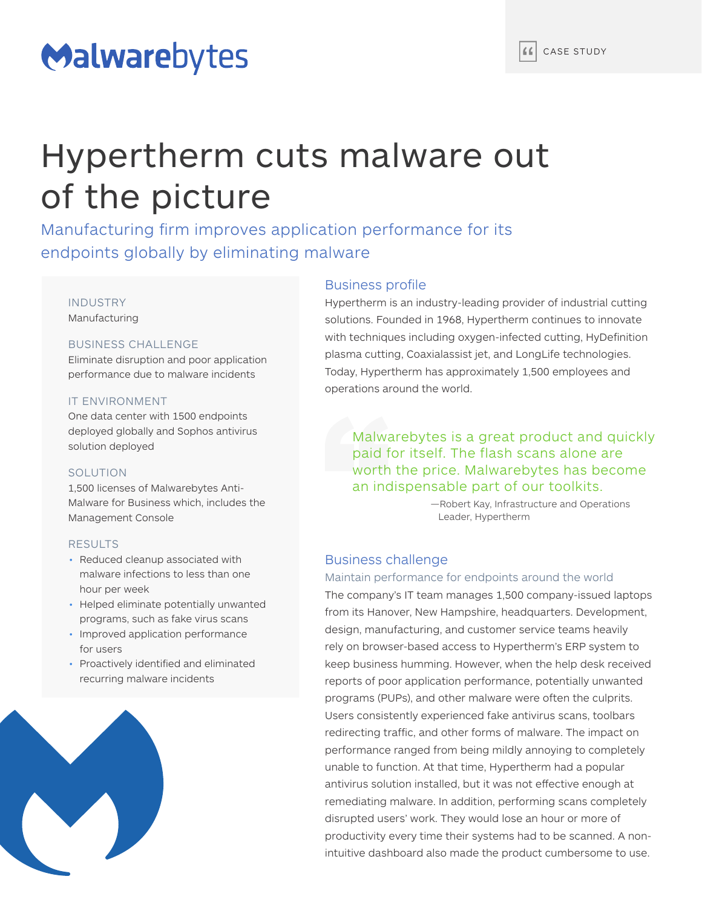# Malwarebytes

# Hypertherm cuts malware out of the picture

Manufacturing firm improves application performance for its endpoints globally by eliminating malware

# INDUSTRY

Manufacturing

## BUSINESS CHALLENGE

Eliminate disruption and poor application performance due to malware incidents

#### IT ENVIRONMENT

One data center with 1500 endpoints deployed globally and Sophos antivirus solution deployed

#### SOLUTION

1,500 licenses of Malwarebytes Anti-Malware for Business which, includes the Management Console

## RESULTS

- Reduced cleanup associated with malware infections to less than one hour per week
- Helped eliminate potentially unwanted programs, such as fake virus scans
- Improved application performance for users
- Proactively identified and eliminated recurring malware incidents



## Business profile

Hypertherm is an industry-leading provider of industrial cutting solutions. Founded in 1968, Hypertherm continues to innovate with techniques including oxygen-infected cutting, HyDefinition plasma cutting, Coaxialassist jet, and LongLife technologies. Today, Hypertherm has approximately 1,500 employees and operations around the world.

# Malwarebytes is a great product and quickly paid for itself. The flash scans alone are worth the price. Malwarebytes has become an indispensable part of our toolkits.

—Robert Kay, Infrastructure and Operations Leader, Hypertherm

# Business challenge

## Maintain performance for endpoints around the world

The company's IT team manages 1,500 company-issued laptops from its Hanover, New Hampshire, headquarters. Development, design, manufacturing, and customer service teams heavily rely on browser-based access to Hypertherm's ERP system to keep business humming. However, when the help desk received reports of poor application performance, potentially unwanted programs (PUPs), and other malware were often the culprits. Users consistently experienced fake antivirus scans, toolbars redirecting traffic, and other forms of malware. The impact on performance ranged from being mildly annoying to completely unable to function. At that time, Hypertherm had a popular antivirus solution installed, but it was not effective enough at remediating malware. In addition, performing scans completely disrupted users' work. They would lose an hour or more of productivity every time their systems had to be scanned. A nonintuitive dashboard also made the product cumbersome to use.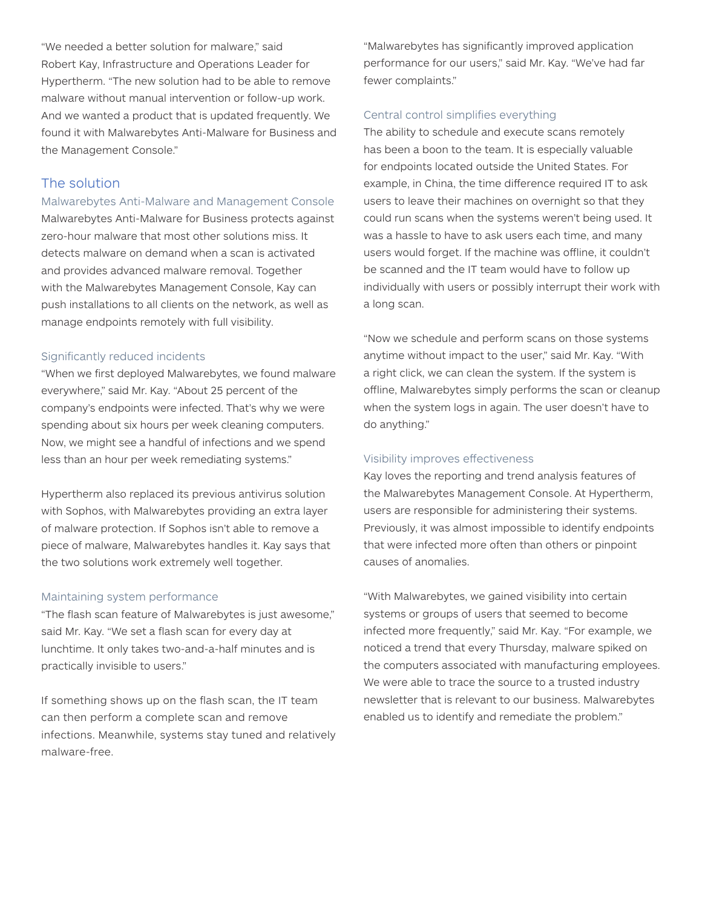"We needed a better solution for malware," said Robert Kay, Infrastructure and Operations Leader for Hypertherm. "The new solution had to be able to remove malware without manual intervention or follow-up work. And we wanted a product that is updated frequently. We found it with Malwarebytes Anti-Malware for Business and the Management Console."

# The solution

#### Malwarebytes Anti-Malware and Management Console

Malwarebytes Anti-Malware for Business protects against zero-hour malware that most other solutions miss. It detects malware on demand when a scan is activated and provides advanced malware removal. Together with the Malwarebytes Management Console, Kay can push installations to all clients on the network, as well as manage endpoints remotely with full visibility.

#### Significantly reduced incidents

"When we first deployed Malwarebytes, we found malware everywhere," said Mr. Kay. "About 25 percent of the company's endpoints were infected. That's why we were spending about six hours per week cleaning computers. Now, we might see a handful of infections and we spend less than an hour per week remediating systems."

Hypertherm also replaced its previous antivirus solution with Sophos, with Malwarebytes providing an extra layer of malware protection. If Sophos isn't able to remove a piece of malware, Malwarebytes handles it. Kay says that the two solutions work extremely well together.

#### Maintaining system performance

"The flash scan feature of Malwarebytes is just awesome," said Mr. Kay. "We set a flash scan for every day at lunchtime. It only takes two-and-a-half minutes and is practically invisible to users."

If something shows up on the flash scan, the IT team can then perform a complete scan and remove infections. Meanwhile, systems stay tuned and relatively malware-free.

"Malwarebytes has significantly improved application performance for our users," said Mr. Kay. "We've had far fewer complaints."

#### Central control simplifies everything

The ability to schedule and execute scans remotely has been a boon to the team. It is especially valuable for endpoints located outside the United States. For example, in China, the time difference required IT to ask users to leave their machines on overnight so that they could run scans when the systems weren't being used. It was a hassle to have to ask users each time, and many users would forget. If the machine was offline, it couldn't be scanned and the IT team would have to follow up individually with users or possibly interrupt their work with a long scan.

"Now we schedule and perform scans on those systems anytime without impact to the user," said Mr. Kay. "With a right click, we can clean the system. If the system is offline, Malwarebytes simply performs the scan or cleanup when the system logs in again. The user doesn't have to do anything."

#### Visibility improves effectiveness

Kay loves the reporting and trend analysis features of the Malwarebytes Management Console. At Hypertherm, users are responsible for administering their systems. Previously, it was almost impossible to identify endpoints that were infected more often than others or pinpoint causes of anomalies.

"With Malwarebytes, we gained visibility into certain systems or groups of users that seemed to become infected more frequently," said Mr. Kay. "For example, we noticed a trend that every Thursday, malware spiked on the computers associated with manufacturing employees. We were able to trace the source to a trusted industry newsletter that is relevant to our business. Malwarebytes enabled us to identify and remediate the problem."